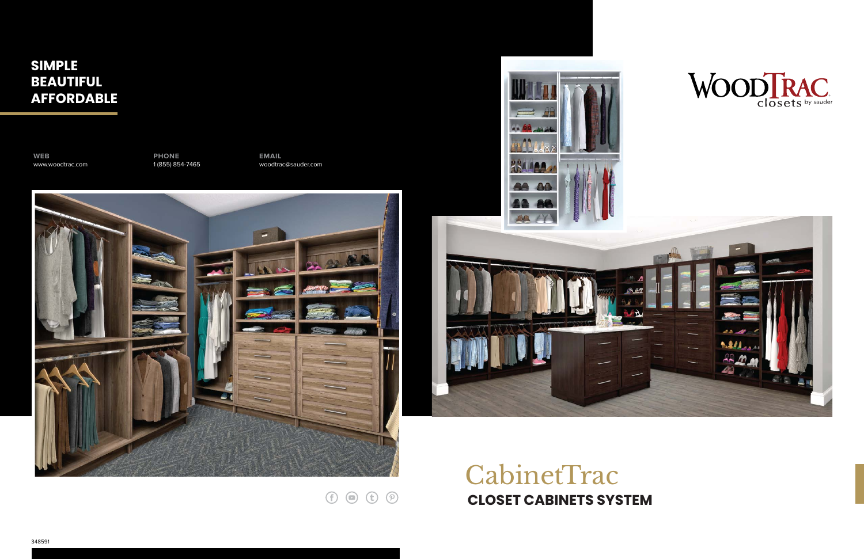# CabinetTrac **CLOSET CABINETS SYSTEM**

 $\odot$   $\odot$   $\odot$   $\odot$ 

# **SIMPLE BEAUTIFUL AFFORDABLE**

**WEB** www.woodtrac.com **PHONE** 1 (855) 854-7465 **EMAIL** woodtrac@sauder.com





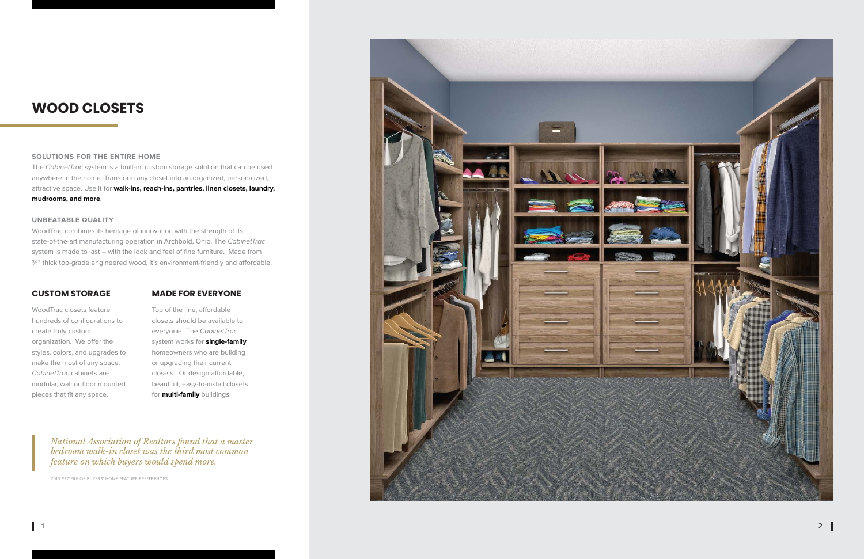# **WOOD CLOSETS**

### **CUSTOM STORAGE**

#### **SOLUTIONS FOR THE ENTIRE HOME**

WoodTrac combines its heritage of innovation with the strength of its state-of-the-art manufacturing operation in Archbold, Ohio. The *CabinetTrac* system is made to last – with the look and feel of fine furniture. Made from  $\frac{3}{4}$ " thick top-grade engineered wood, it's environment-friendly and affordable.

The *CabinetTrac* system is a built-in, custom storage solution that can be used anywhere in the home. Transform any closet into an organized, personalized, attractive space. Use it for **walk-ins, reach-ins, pantries, linen closets, laundry, mudrooms, and more**.

#### **UNBEATABLE QUALITY**

Top of the line, affordable closets should be available to everyone. The *CabinetTrac* system works for **single-family** homeowners who are building or upgrading their current closets. Or design affordable, beautiful, easy-to-install closets for **multi-family** buildings.

WoodTrac closets feature hundreds of configurations to create truly custom organization. We offer the styles, colors, and upgrades to make the most of any space. *CabinetTrac* cabinets are modular, wall or floor mounted pieces that fit any space.

### **MADE FOR EVERYONE**

2013 PROFILE OF BUYERS' HOME FEATURE PREFERENCES



*National Association of Realtors found that a master bedroom walk-in closet was the third most common feature on which buyers would spend more.*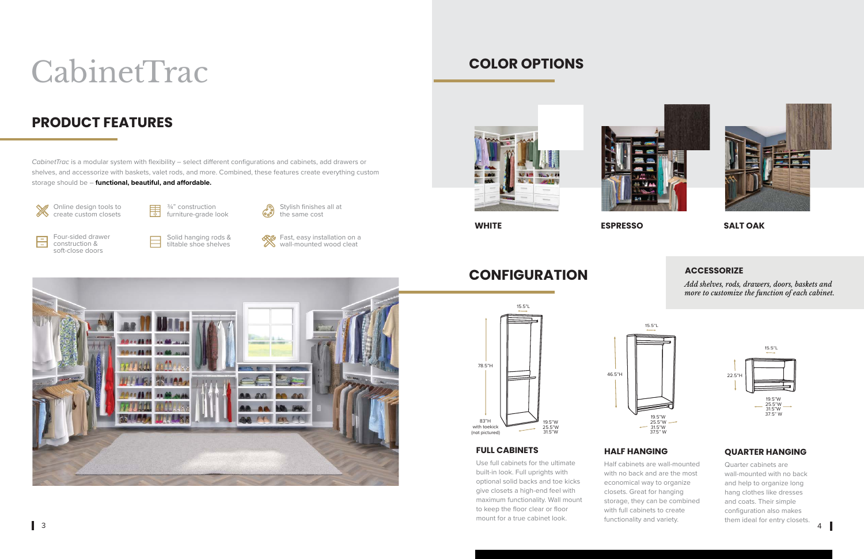**WHITE ESPRESSO SALT OAK**

# **COLOR OPTIONS**



# **CONFIGURATION**

# **PRODUCT FEATURES**

*CabinetTrac* is a modular system with flexibility – select different configurations and cabinets, add drawers or shelves, and accessorize with baskets, valet rods, and more. Combined, these features create everything custom storage should be - functional, beautiful, and affordable.



冎

**SEG** Fast, easy installation on a wall-mounted wood cleat



Online design tools to create custom closets





Four-sided drawer construction & soft-close doors

Solid hanging rods & tiltable shoe shelves

# CabinetTrac

## **FULL CABINETS**

Use full cabinets for the ultimate built-in look. Full uprights with optional solid backs and toe kicks give closets a high-end feel with maximum functionality. Wall mount to keep the floor clear or floor mount for a true cabinet look.





### **HALF HANGING**

Half cabinets are wall-mounted with no back and are the most economical way to organize closets. Great for hanging storage, they can be combined with full cabinets to create functionality and variety.

# **QUARTER HANGING**

Quarter cabinets are wall-mounted with no back and help to organize long hang clothes like dresses and coats. Their simple configuration also makes them ideal for entry closets.







*Add shelves, rods, drawers, doors, baskets and more to customize the function of each cabinet.* 

#### **ACCESSORIZE**